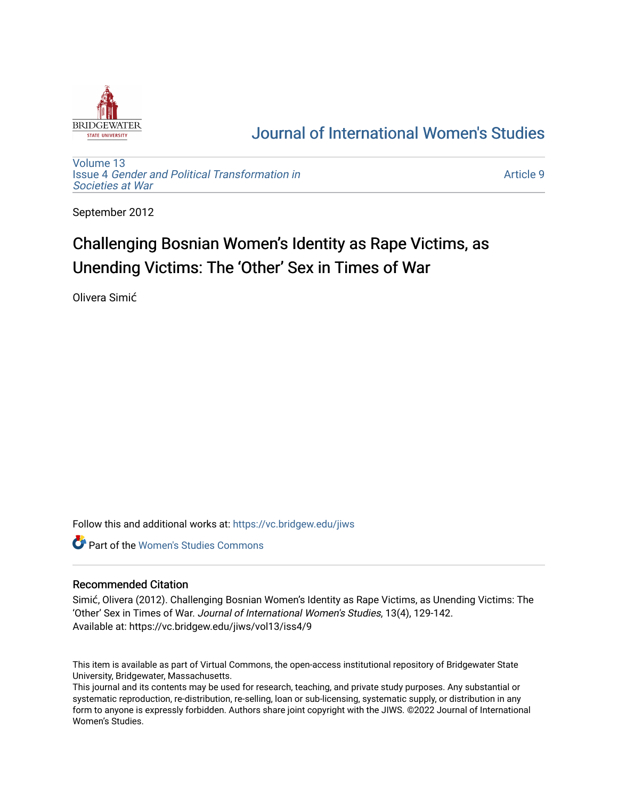

## [Journal of International Women's Studies](https://vc.bridgew.edu/jiws)

[Volume 13](https://vc.bridgew.edu/jiws/vol13) Issue 4 [Gender and Political Transformation in](https://vc.bridgew.edu/jiws/vol13/iss4) [Societies at War](https://vc.bridgew.edu/jiws/vol13/iss4)

[Article 9](https://vc.bridgew.edu/jiws/vol13/iss4/9) 

September 2012

# Challenging Bosnian Women's Identity as Rape Victims, as Unending Victims: The 'Other' Sex in Times of War

Olivera Simić

Follow this and additional works at: [https://vc.bridgew.edu/jiws](https://vc.bridgew.edu/jiws?utm_source=vc.bridgew.edu%2Fjiws%2Fvol13%2Fiss4%2F9&utm_medium=PDF&utm_campaign=PDFCoverPages)

**C** Part of the Women's Studies Commons

#### Recommended Citation

Simić, Olivera (2012). Challenging Bosnian Women's Identity as Rape Victims, as Unending Victims: The 'Other' Sex in Times of War. Journal of International Women's Studies, 13(4), 129-142. Available at: https://vc.bridgew.edu/jiws/vol13/iss4/9

This item is available as part of Virtual Commons, the open-access institutional repository of Bridgewater State University, Bridgewater, Massachusetts.

This journal and its contents may be used for research, teaching, and private study purposes. Any substantial or systematic reproduction, re-distribution, re-selling, loan or sub-licensing, systematic supply, or distribution in any form to anyone is expressly forbidden. Authors share joint copyright with the JIWS. ©2022 Journal of International Women's Studies.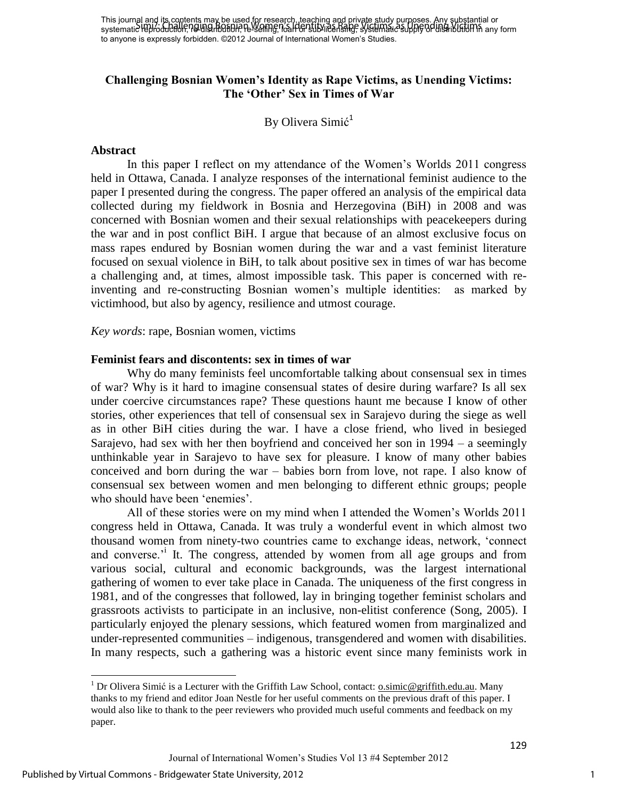### **Challenging Bosnian Women's Identity as Rape Victims, as Unending Victims: The 'Other' Sex in Times of War**

By Olivera Simić<sup>1</sup>

#### **Abstract**

In this paper I reflect on my attendance of the Women"s Worlds 2011 congress held in Ottawa, Canada. I analyze responses of the international feminist audience to the paper I presented during the congress. The paper offered an analysis of the empirical data collected during my fieldwork in Bosnia and Herzegovina (BiH) in 2008 and was concerned with Bosnian women and their sexual relationships with peacekeepers during the war and in post conflict BiH. I argue that because of an almost exclusive focus on mass rapes endured by Bosnian women during the war and a vast feminist literature focused on sexual violence in BiH, to talk about positive sex in times of war has become a challenging and, at times, almost impossible task. This paper is concerned with reinventing and re-constructing Bosnian women"s multiple identities: as marked by victimhood, but also by agency, resilience and utmost courage.

*Key words*: rape, Bosnian women, victims

#### **Feminist fears and discontents: sex in times of war**

Why do many feminists feel uncomfortable talking about consensual sex in times of war? Why is it hard to imagine consensual states of desire during warfare? Is all sex under coercive circumstances rape? These questions haunt me because I know of other stories, other experiences that tell of consensual sex in Sarajevo during the siege as well as in other BiH cities during the war. I have a close friend, who lived in besieged Sarajevo, had sex with her then boyfriend and conceived her son in 1994 – a seemingly unthinkable year in Sarajevo to have sex for pleasure. I know of many other babies conceived and born during the war – babies born from love, not rape. I also know of consensual sex between women and men belonging to different ethnic groups; people who should have been 'enemies'.

All of these stories were on my mind when I attended the Women"s Worlds 2011 congress held in Ottawa, Canada. It was truly a wonderful event in which almost two thousand women from ninety-two countries came to exchange ideas, network, "connect and converse.<sup>'</sup> It. The congress, attended by women from all age groups and from various social, cultural and economic backgrounds, was the largest international gathering of women to ever take place in Canada. The uniqueness of the first congress in 1981, and of the congresses that followed, lay in bringing together feminist scholars and grassroots activists to participate in an inclusive, non-elitist conference (Song, 2005). I particularly enjoyed the plenary sessions, which featured women from marginalized and under-represented communities – indigenous, transgendered and women with disabilities. In many respects, such a gathering was a historic event since many feminists work in

 $\overline{\phantom{a}}$ 

<sup>&</sup>lt;sup>1</sup> Dr Olivera Simić is a Lecturer with the Griffith Law School, contact: **o.simic@griffith.edu.au**. Many thanks to my friend and editor Joan Nestle for her useful comments on the previous draft of this paper. I would also like to thank to the peer reviewers who provided much useful comments and feedback on my paper.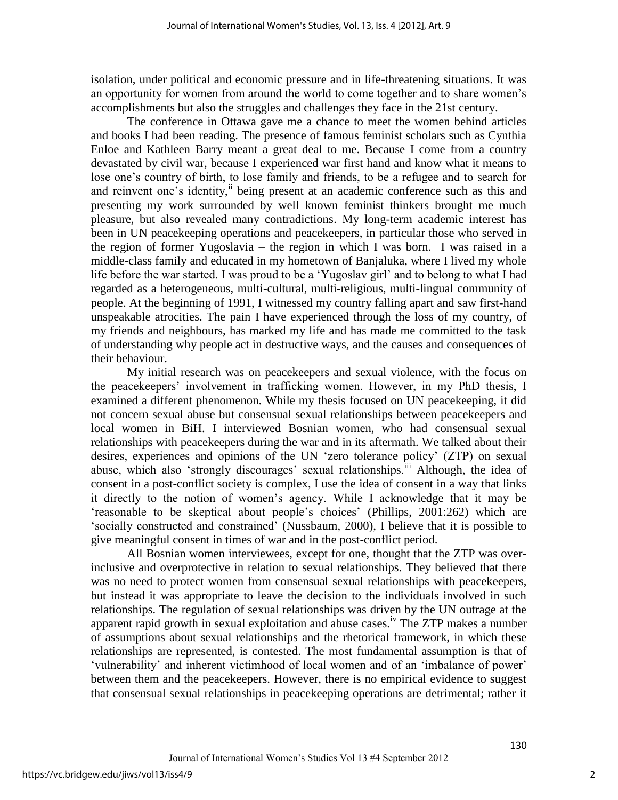isolation, under political and economic pressure and in life-threatening situations. It was an opportunity for women from around the world to come together and to share women"s accomplishments but also the struggles and challenges they face in the 21st century.

The conference in Ottawa gave me a chance to meet the women behind articles and books I had been reading. The presence of famous feminist scholars such as Cynthia Enloe and Kathleen Barry meant a great deal to me. Because I come from a country devastated by civil war, because I experienced war first hand and know what it means to lose one's country of birth, to lose family and friends, to be a refugee and to search for and reinvent one's identity,<sup>ii</sup> being present at an academic conference such as this and presenting my work surrounded by well known feminist thinkers brought me much pleasure, but also revealed many contradictions. My long-term academic interest has been in UN peacekeeping operations and peacekeepers, in particular those who served in the region of former Yugoslavia – the region in which I was born. I was raised in a middle-class family and educated in my hometown of Banjaluka, where I lived my whole life before the war started. I was proud to be a "Yugoslav girl" and to belong to what I had regarded as a heterogeneous, multi-cultural, multi-religious, multi-lingual community of people. At the beginning of 1991, I witnessed my country falling apart and saw first-hand unspeakable atrocities. The pain I have experienced through the loss of my country, of my friends and neighbours, has marked my life and has made me committed to the task of understanding why people act in destructive ways, and the causes and consequences of their behaviour.

My initial research was on peacekeepers and sexual violence, with the focus on the peacekeepers" involvement in trafficking women. However, in my PhD thesis, I examined a different phenomenon. While my thesis focused on UN peacekeeping, it did not concern sexual abuse but consensual sexual relationships between peacekeepers and local women in BiH. I interviewed Bosnian women, who had consensual sexual relationships with peacekeepers during the war and in its aftermath. We talked about their desires, experiences and opinions of the UN "zero tolerance policy" (ZTP) on sexual abuse, which also 'strongly discourages' sexual relationships.<sup>iii</sup> Although, the idea of consent in a post-conflict society is complex, I use the idea of consent in a way that links it directly to the notion of women"s agency. While I acknowledge that it may be "reasonable to be skeptical about people"s choices" (Phillips, 2001:262) which are "socially constructed and constrained" (Nussbaum, 2000), I believe that it is possible to give meaningful consent in times of war and in the post-conflict period.

All Bosnian women interviewees, except for one, thought that the ZTP was overinclusive and overprotective in relation to sexual relationships. They believed that there was no need to protect women from consensual sexual relationships with peacekeepers, but instead it was appropriate to leave the decision to the individuals involved in such relationships. The regulation of sexual relationships was driven by the UN outrage at the apparent rapid growth in sexual exploitation and abuse cases.<sup>iv</sup> The ZTP makes a number of assumptions about sexual relationships and the rhetorical framework, in which these relationships are represented, is contested. The most fundamental assumption is that of 'vulnerability' and inherent victimhood of local women and of an 'imbalance of power' between them and the peacekeepers. However, there is no empirical evidence to suggest that consensual sexual relationships in peacekeeping operations are detrimental; rather it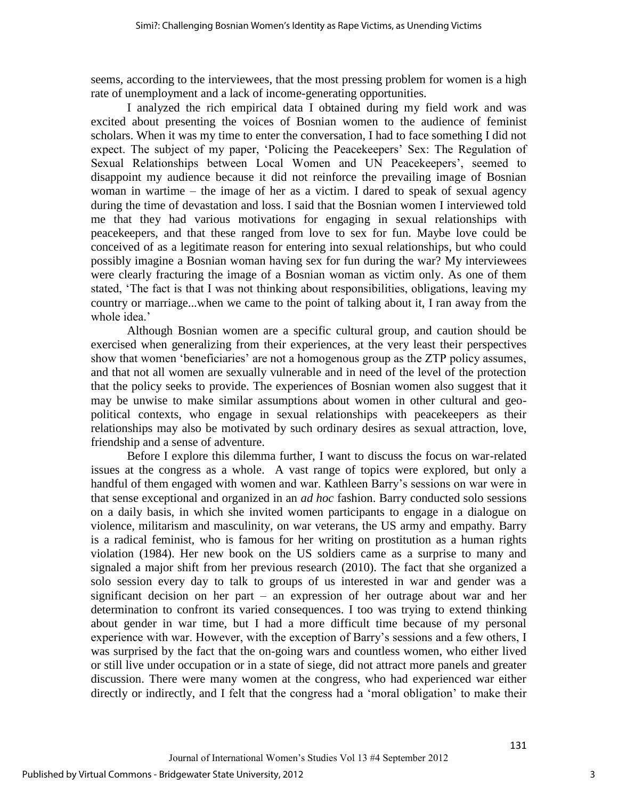seems, according to the interviewees, that the most pressing problem for women is a high rate of unemployment and a lack of income-generating opportunities.

I analyzed the rich empirical data I obtained during my field work and was excited about presenting the voices of Bosnian women to the audience of feminist scholars. When it was my time to enter the conversation, I had to face something I did not expect. The subject of my paper, 'Policing the Peacekeepers' Sex: The Regulation of Sexual Relationships between Local Women and UN Peacekeepers', seemed to disappoint my audience because it did not reinforce the prevailing image of Bosnian woman in wartime – the image of her as a victim. I dared to speak of sexual agency during the time of devastation and loss. I said that the Bosnian women I interviewed told me that they had various motivations for engaging in sexual relationships with peacekeepers, and that these ranged from love to sex for fun. Maybe love could be conceived of as a legitimate reason for entering into sexual relationships, but who could possibly imagine a Bosnian woman having sex for fun during the war? My interviewees were clearly fracturing the image of a Bosnian woman as victim only. As one of them stated, "The fact is that I was not thinking about responsibilities, obligations, leaving my country or marriage...when we came to the point of talking about it, I ran away from the whole idea.'

Although Bosnian women are a specific cultural group, and caution should be exercised when generalizing from their experiences, at the very least their perspectives show that women 'beneficiaries' are not a homogenous group as the ZTP policy assumes, and that not all women are sexually vulnerable and in need of the level of the protection that the policy seeks to provide. The experiences of Bosnian women also suggest that it may be unwise to make similar assumptions about women in other cultural and geopolitical contexts, who engage in sexual relationships with peacekeepers as their relationships may also be motivated by such ordinary desires as sexual attraction, love, friendship and a sense of adventure.

Before I explore this dilemma further, I want to discuss the focus on war-related issues at the congress as a whole. A vast range of topics were explored, but only a handful of them engaged with women and war. Kathleen Barry"s sessions on war were in that sense exceptional and organized in an *ad hoc* fashion. Barry conducted solo sessions on a daily basis, in which she invited women participants to engage in a dialogue on violence, militarism and masculinity, on war veterans, the US army and empathy. Barry is a radical feminist, who is famous for her writing on prostitution as a human rights violation (1984). Her new book on the US soldiers came as a surprise to many and signaled a major shift from her previous research (2010). The fact that she organized a solo session every day to talk to groups of us interested in war and gender was a significant decision on her part – an expression of her outrage about war and her determination to confront its varied consequences. I too was trying to extend thinking about gender in war time, but I had a more difficult time because of my personal experience with war. However, with the exception of Barry"s sessions and a few others, I was surprised by the fact that the on-going wars and countless women, who either lived or still live under occupation or in a state of siege, did not attract more panels and greater discussion. There were many women at the congress, who had experienced war either directly or indirectly, and I felt that the congress had a "moral obligation" to make their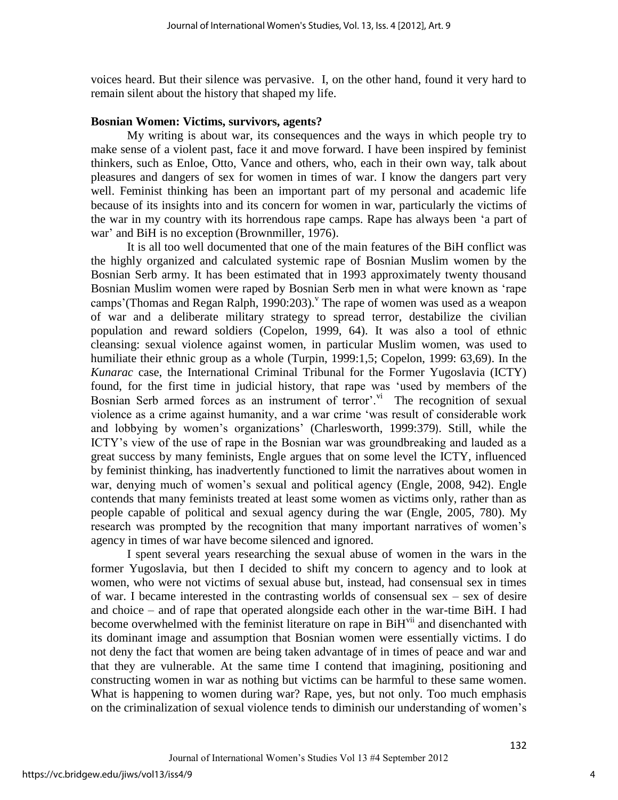voices heard. But their silence was pervasive. I, on the other hand, found it very hard to remain silent about the history that shaped my life.

#### **Bosnian Women: Victims, survivors, agents?**

My writing is about war, its consequences and the ways in which people try to make sense of a violent past, face it and move forward. I have been inspired by feminist thinkers, such as Enloe, Otto, Vance and others, who, each in their own way, talk about pleasures and dangers of sex for women in times of war. I know the dangers part very well. Feminist thinking has been an important part of my personal and academic life because of its insights into and its concern for women in war, particularly the victims of the war in my country with its horrendous rape camps. Rape has always been "a part of war' and BiH is no exception (Brownmiller, 1976).

It is all too well documented that one of the main features of the BiH conflict was the highly organized and calculated systemic rape of Bosnian Muslim women by the Bosnian Serb army. It has been estimated that in 1993 approximately twenty thousand Bosnian Muslim women were raped by Bosnian Serb men in what were known as "rape camps' (Thomas and Regan Ralph, 1990:203). The rape of women was used as a weapon of war and a deliberate military strategy to spread terror, destabilize the civilian population and reward soldiers (Copelon, 1999, 64). It was also a tool of ethnic cleansing: sexual violence against women, in particular Muslim women, was used to humiliate their ethnic group as a whole (Turpin, 1999:1,5; Copelon, 1999: 63,69). In the *Kunarac* case, the International Criminal Tribunal for the Former Yugoslavia (ICTY) found, for the first time in judicial history, that rape was "used by members of the Bosnian Serb armed forces as an instrument of terror'.<sup>vi</sup> The recognition of sexual violence as a crime against humanity, and a war crime "was result of considerable work and lobbying by women"s organizations" (Charlesworth, 1999:379). Still, while the ICTY"s view of the use of rape in the Bosnian war was groundbreaking and lauded as a great success by many feminists, Engle argues that on some level the ICTY, influenced by feminist thinking, has inadvertently functioned to limit the narratives about women in war, denying much of women's sexual and political agency (Engle, 2008, 942). Engle contends that many feminists treated at least some women as victims only, rather than as people capable of political and sexual agency during the war (Engle, 2005, 780). My research was prompted by the recognition that many important narratives of women"s agency in times of war have become silenced and ignored.

I spent several years researching the sexual abuse of women in the wars in the former Yugoslavia, but then I decided to shift my concern to agency and to look at women, who were not victims of sexual abuse but, instead, had consensual sex in times of war. I became interested in the contrasting worlds of consensual sex  $-$  sex of desire and choice – and of rape that operated alongside each other in the war-time BiH. I had become overwhelmed with the feminist literature on rape in  $BiH<sup>vi</sup>$  and disenchanted with its dominant image and assumption that Bosnian women were essentially victims. I do not deny the fact that women are being taken advantage of in times of peace and war and that they are vulnerable. At the same time I contend that imagining, positioning and constructing women in war as nothing but victims can be harmful to these same women. What is happening to women during war? Rape, yes, but not only. Too much emphasis on the criminalization of sexual violence tends to diminish our understanding of women"s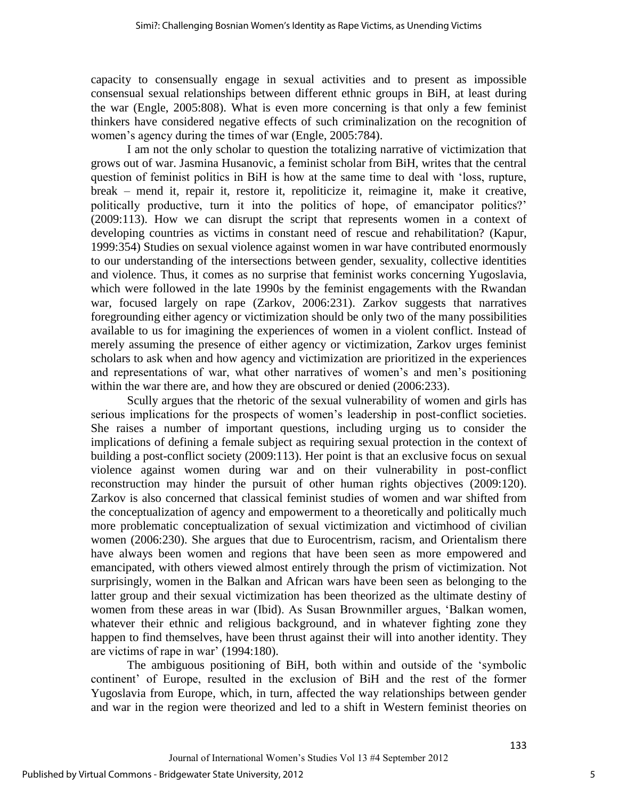capacity to consensually engage in sexual activities and to present as impossible consensual sexual relationships between different ethnic groups in BiH, at least during the war (Engle, 2005:808). What is even more concerning is that only a few feminist thinkers have considered negative effects of such criminalization on the recognition of women"s agency during the times of war (Engle, 2005:784).

I am not the only scholar to question the totalizing narrative of victimization that grows out of war. Jasmina Husanovic, a feminist scholar from BiH, writes that the central question of feminist politics in BiH is how at the same time to deal with "loss, rupture, break – mend it, repair it, restore it, repoliticize it, reimagine it, make it creative, politically productive, turn it into the politics of hope, of emancipator politics?" (2009:113). How we can disrupt the script that represents women in a context of developing countries as victims in constant need of rescue and rehabilitation? (Kapur, 1999:354) Studies on sexual violence against women in war have contributed enormously to our understanding of the intersections between gender, sexuality, collective identities and violence. Thus, it comes as no surprise that feminist works concerning Yugoslavia, which were followed in the late 1990s by the feminist engagements with the Rwandan war, focused largely on rape (Zarkov, 2006:231). Zarkov suggests that narratives foregrounding either agency or victimization should be only two of the many possibilities available to us for imagining the experiences of women in a violent conflict. Instead of merely assuming the presence of either agency or victimization, Zarkov urges feminist scholars to ask when and how agency and victimization are prioritized in the experiences and representations of war, what other narratives of women"s and men"s positioning within the war there are, and how they are obscured or denied (2006:233).

Scully argues that the rhetoric of the sexual vulnerability of women and girls has serious implications for the prospects of women"s leadership in post-conflict societies. She raises a number of important questions, including urging us to consider the implications of defining a female subject as requiring sexual protection in the context of building a post-conflict society (2009:113). Her point is that an exclusive focus on sexual violence against women during war and on their vulnerability in post-conflict reconstruction may hinder the pursuit of other human rights objectives (2009:120). Zarkov is also concerned that classical feminist studies of women and war shifted from the conceptualization of agency and empowerment to a theoretically and politically much more problematic conceptualization of sexual victimization and victimhood of civilian women (2006:230). She argues that due to Eurocentrism, racism, and Orientalism there have always been women and regions that have been seen as more empowered and emancipated, with others viewed almost entirely through the prism of victimization. Not surprisingly, women in the Balkan and African wars have been seen as belonging to the latter group and their sexual victimization has been theorized as the ultimate destiny of women from these areas in war (Ibid). As Susan Brownmiller argues, "Balkan women, whatever their ethnic and religious background, and in whatever fighting zone they happen to find themselves, have been thrust against their will into another identity. They are victims of rape in war' (1994:180).

The ambiguous positioning of BiH, both within and outside of the "symbolic continent" of Europe, resulted in the exclusion of BiH and the rest of the former Yugoslavia from Europe, which, in turn, affected the way relationships between gender and war in the region were theorized and led to a shift in Western feminist theories on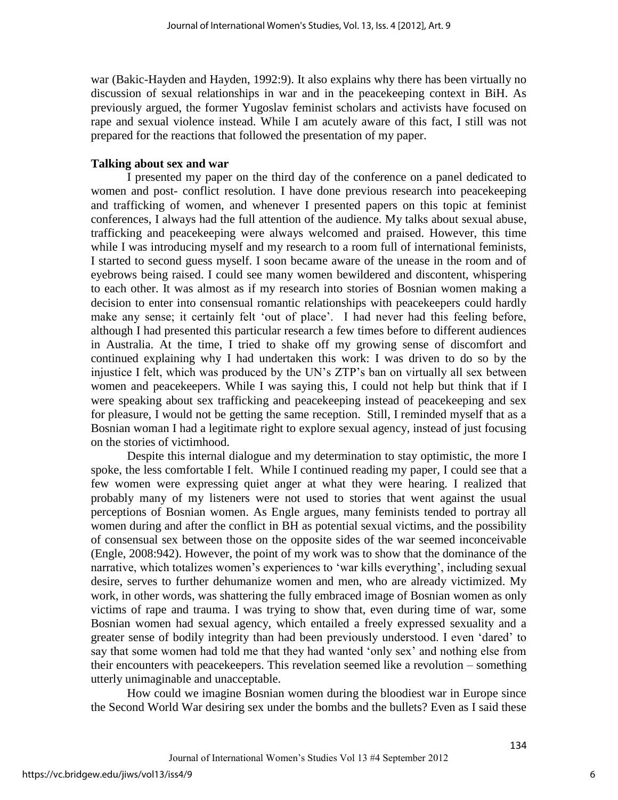war (Bakic-Hayden and Hayden, 1992:9). It also explains why there has been virtually no discussion of sexual relationships in war and in the peacekeeping context in BiH. As previously argued, the former Yugoslav feminist scholars and activists have focused on rape and sexual violence instead. While I am acutely aware of this fact, I still was not prepared for the reactions that followed the presentation of my paper.

#### **Talking about sex and war**

I presented my paper on the third day of the conference on a panel dedicated to women and post- conflict resolution. I have done previous research into peacekeeping and trafficking of women, and whenever I presented papers on this topic at feminist conferences, I always had the full attention of the audience. My talks about sexual abuse, trafficking and peacekeeping were always welcomed and praised. However, this time while I was introducing myself and my research to a room full of international feminists, I started to second guess myself. I soon became aware of the unease in the room and of eyebrows being raised. I could see many women bewildered and discontent, whispering to each other. It was almost as if my research into stories of Bosnian women making a decision to enter into consensual romantic relationships with peacekeepers could hardly make any sense; it certainly felt "out of place". I had never had this feeling before, although I had presented this particular research a few times before to different audiences in Australia. At the time, I tried to shake off my growing sense of discomfort and continued explaining why I had undertaken this work: I was driven to do so by the injustice I felt, which was produced by the UN"s ZTP"s ban on virtually all sex between women and peacekeepers. While I was saying this, I could not help but think that if I were speaking about sex trafficking and peacekeeping instead of peacekeeping and sex for pleasure, I would not be getting the same reception. Still, I reminded myself that as a Bosnian woman I had a legitimate right to explore sexual agency, instead of just focusing on the stories of victimhood.

Despite this internal dialogue and my determination to stay optimistic, the more I spoke, the less comfortable I felt. While I continued reading my paper, I could see that a few women were expressing quiet anger at what they were hearing. I realized that probably many of my listeners were not used to stories that went against the usual perceptions of Bosnian women. As Engle argues, many feminists tended to portray all women during and after the conflict in BH as potential sexual victims, and the possibility of consensual sex between those on the opposite sides of the war seemed inconceivable (Engle, 2008:942). However, the point of my work was to show that the dominance of the narrative, which totalizes women's experiences to 'war kills everything', including sexual desire, serves to further dehumanize women and men, who are already victimized. My work, in other words, was shattering the fully embraced image of Bosnian women as only victims of rape and trauma. I was trying to show that, even during time of war, some Bosnian women had sexual agency, which entailed a freely expressed sexuality and a greater sense of bodily integrity than had been previously understood. I even "dared" to say that some women had told me that they had wanted "only sex" and nothing else from their encounters with peacekeepers. This revelation seemed like a revolution – something utterly unimaginable and unacceptable.

 How could we imagine Bosnian women during the bloodiest war in Europe since the Second World War desiring sex under the bombs and the bullets? Even as I said these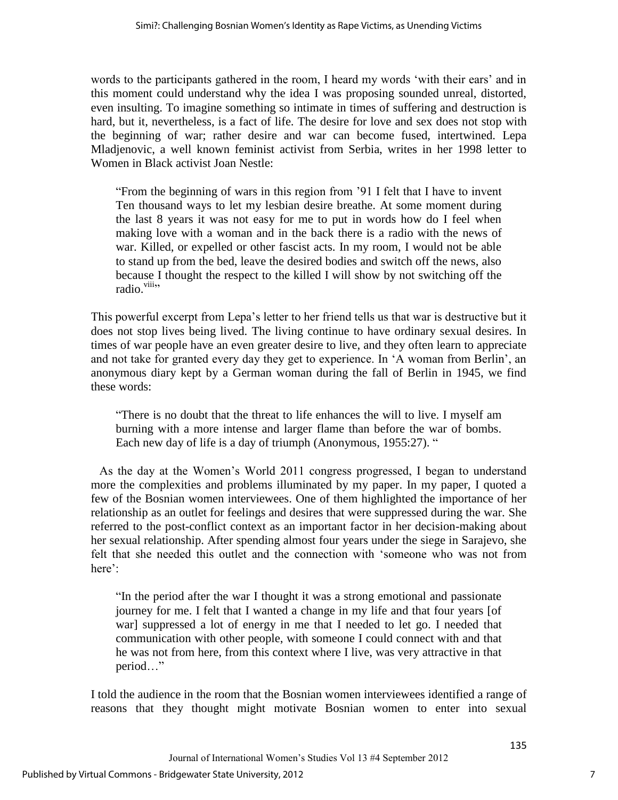words to the participants gathered in the room, I heard my words "with their ears" and in this moment could understand why the idea I was proposing sounded unreal, distorted, even insulting. To imagine something so intimate in times of suffering and destruction is hard, but it, nevertheless, is a fact of life. The desire for love and sex does not stop with the beginning of war; rather desire and war can become fused, intertwined. Lepa Mladjenovic, a well known feminist activist from Serbia, writes in her 1998 letter to Women in Black activist Joan Nestle:

"From the beginning of wars in this region from "91 I felt that I have to invent Ten thousand ways to let my lesbian desire breathe. At some moment during the last 8 years it was not easy for me to put in words how do I feel when making love with a woman and in the back there is a radio with the news of war. Killed, or expelled or other fascist acts. In my room, I would not be able to stand up from the bed, leave the desired bodies and switch off the news, also because I thought the respect to the killed I will show by not switching off the radio.<sup>viii</sup>"

This powerful excerpt from Lepa"s letter to her friend tells us that war is destructive but it does not stop lives being lived. The living continue to have ordinary sexual desires. In times of war people have an even greater desire to live, and they often learn to appreciate and not take for granted every day they get to experience. In "A woman from Berlin", an anonymous diary kept by a German woman during the fall of Berlin in 1945, we find these words:

"There is no doubt that the threat to life enhances the will to live. I myself am burning with a more intense and larger flame than before the war of bombs. Each new day of life is a day of triumph (Anonymous, 1955:27). "

As the day at the Women"s World 2011 congress progressed, I began to understand more the complexities and problems illuminated by my paper. In my paper, I quoted a few of the Bosnian women interviewees. One of them highlighted the importance of her relationship as an outlet for feelings and desires that were suppressed during the war. She referred to the post-conflict context as an important factor in her decision-making about her sexual relationship. After spending almost four years under the siege in Sarajevo, she felt that she needed this outlet and the connection with "someone who was not from here':

"In the period after the war I thought it was a strong emotional and passionate journey for me. I felt that I wanted a change in my life and that four years [of war] suppressed a lot of energy in me that I needed to let go. I needed that communication with other people, with someone I could connect with and that he was not from here, from this context where I live, was very attractive in that period…"

I told the audience in the room that the Bosnian women interviewees identified a range of reasons that they thought might motivate Bosnian women to enter into sexual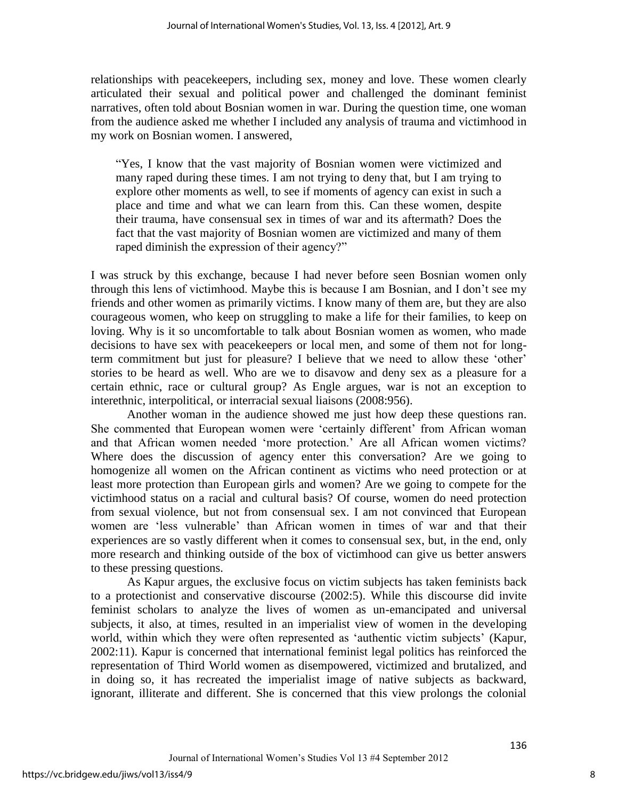relationships with peacekeepers, including sex, money and love. These women clearly articulated their sexual and political power and challenged the dominant feminist narratives, often told about Bosnian women in war. During the question time, one woman from the audience asked me whether I included any analysis of trauma and victimhood in my work on Bosnian women. I answered,

"Yes, I know that the vast majority of Bosnian women were victimized and many raped during these times. I am not trying to deny that, but I am trying to explore other moments as well, to see if moments of agency can exist in such a place and time and what we can learn from this. Can these women, despite their trauma, have consensual sex in times of war and its aftermath? Does the fact that the vast majority of Bosnian women are victimized and many of them raped diminish the expression of their agency?"

I was struck by this exchange, because I had never before seen Bosnian women only through this lens of victimhood. Maybe this is because I am Bosnian, and I don"t see my friends and other women as primarily victims. I know many of them are, but they are also courageous women, who keep on struggling to make a life for their families, to keep on loving. Why is it so uncomfortable to talk about Bosnian women as women, who made decisions to have sex with peacekeepers or local men, and some of them not for longterm commitment but just for pleasure? I believe that we need to allow these "other" stories to be heard as well. Who are we to disavow and deny sex as a pleasure for a certain ethnic, race or cultural group? As Engle argues, war is not an exception to interethnic, interpolitical, or interracial sexual liaisons (2008:956).

Another woman in the audience showed me just how deep these questions ran. She commented that European women were 'certainly different' from African woman and that African women needed "more protection." Are all African women victims? Where does the discussion of agency enter this conversation? Are we going to homogenize all women on the African continent as victims who need protection or at least more protection than European girls and women? Are we going to compete for the victimhood status on a racial and cultural basis? Of course, women do need protection from sexual violence, but not from consensual sex. I am not convinced that European women are "less vulnerable" than African women in times of war and that their experiences are so vastly different when it comes to consensual sex, but, in the end, only more research and thinking outside of the box of victimhood can give us better answers to these pressing questions.

As Kapur argues, the exclusive focus on victim subjects has taken feminists back to a protectionist and conservative discourse (2002:5). While this discourse did invite feminist scholars to analyze the lives of women as un-emancipated and universal subjects, it also, at times, resulted in an imperialist view of women in the developing world, within which they were often represented as 'authentic victim subjects' (Kapur, 2002:11). Kapur is concerned that international feminist legal politics has reinforced the representation of Third World women as disempowered, victimized and brutalized, and in doing so, it has recreated the imperialist image of native subjects as backward, ignorant, illiterate and different. She is concerned that this view prolongs the colonial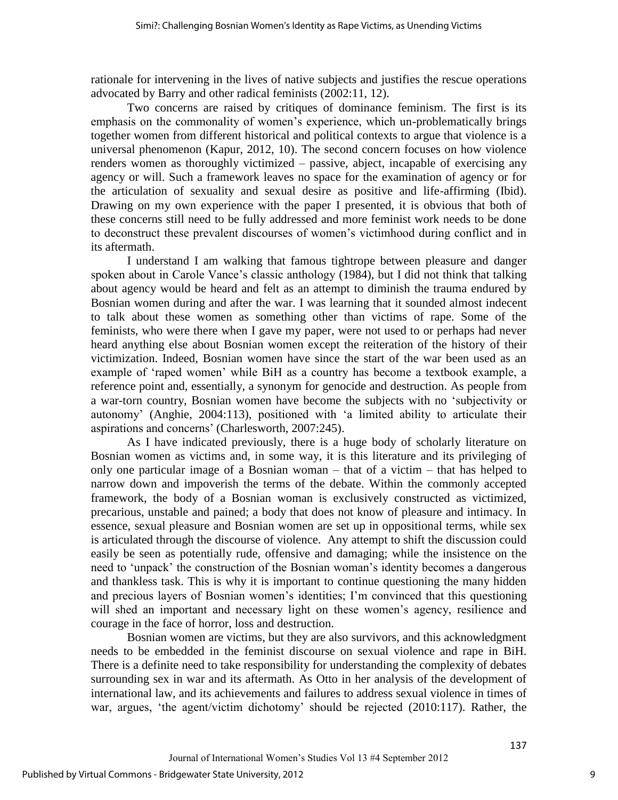rationale for intervening in the lives of native subjects and justifies the rescue operations advocated by Barry and other radical feminists (2002:11, 12).

Two concerns are raised by critiques of dominance feminism. The first is its emphasis on the commonality of women's experience, which un-problematically brings together women from different historical and political contexts to argue that violence is a universal phenomenon (Kapur, 2012, 10). The second concern focuses on how violence renders women as thoroughly victimized – passive, abject, incapable of exercising any agency or will. Such a framework leaves no space for the examination of agency or for the articulation of sexuality and sexual desire as positive and life-affirming (Ibid). Drawing on my own experience with the paper I presented, it is obvious that both of these concerns still need to be fully addressed and more feminist work needs to be done to deconstruct these prevalent discourses of women"s victimhood during conflict and in its aftermath.

I understand I am walking that famous tightrope between pleasure and danger spoken about in Carole Vance's classic anthology (1984), but I did not think that talking about agency would be heard and felt as an attempt to diminish the trauma endured by Bosnian women during and after the war. I was learning that it sounded almost indecent to talk about these women as something other than victims of rape. Some of the feminists, who were there when I gave my paper, were not used to or perhaps had never heard anything else about Bosnian women except the reiteration of the history of their victimization. Indeed, Bosnian women have since the start of the war been used as an example of "raped women" while BiH as a country has become a textbook example, a reference point and, essentially, a synonym for genocide and destruction. As people from a war-torn country, Bosnian women have become the subjects with no "subjectivity or autonomy" (Anghie, 2004:113), positioned with "a limited ability to articulate their aspirations and concerns" (Charlesworth, 2007:245).

As I have indicated previously, there is a huge body of scholarly literature on Bosnian women as victims and, in some way, it is this literature and its privileging of only one particular image of a Bosnian woman – that of a victim – that has helped to narrow down and impoverish the terms of the debate. Within the commonly accepted framework, the body of a Bosnian woman is exclusively constructed as victimized, precarious, unstable and pained; a body that does not know of pleasure and intimacy. In essence, sexual pleasure and Bosnian women are set up in oppositional terms, while sex is articulated through the discourse of violence. Any attempt to shift the discussion could easily be seen as potentially rude, offensive and damaging; while the insistence on the need to 'unpack' the construction of the Bosnian woman's identity becomes a dangerous and thankless task. This is why it is important to continue questioning the many hidden and precious layers of Bosnian women"s identities; I"m convinced that this questioning will shed an important and necessary light on these women's agency, resilience and courage in the face of horror, loss and destruction.

Bosnian women are victims, but they are also survivors, and this acknowledgment needs to be embedded in the feminist discourse on sexual violence and rape in BiH. There is a definite need to take responsibility for understanding the complexity of debates surrounding sex in war and its aftermath. As Otto in her analysis of the development of international law, and its achievements and failures to address sexual violence in times of war, argues, "the agent/victim dichotomy" should be rejected (2010:117). Rather, the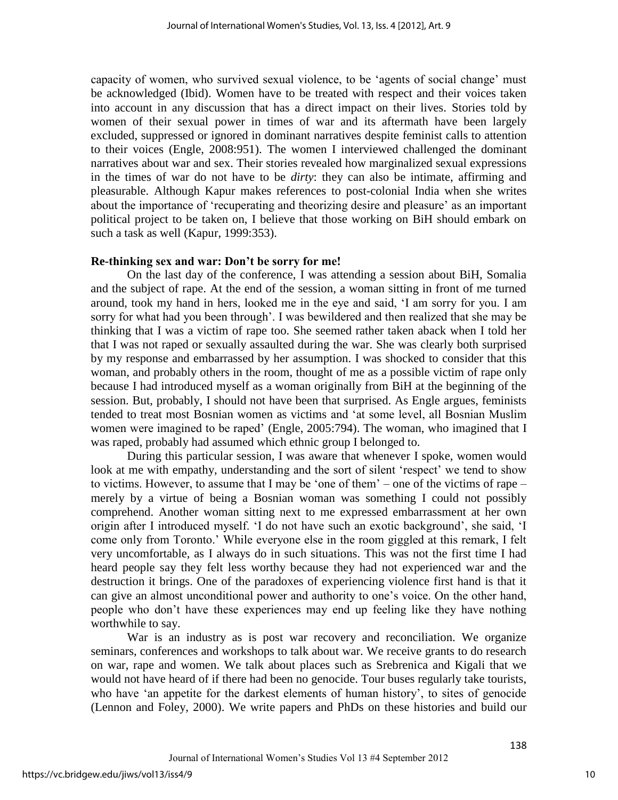capacity of women, who survived sexual violence, to be "agents of social change" must be acknowledged (Ibid). Women have to be treated with respect and their voices taken into account in any discussion that has a direct impact on their lives. Stories told by women of their sexual power in times of war and its aftermath have been largely excluded, suppressed or ignored in dominant narratives despite feminist calls to attention to their voices (Engle, 2008:951). The women I interviewed challenged the dominant narratives about war and sex. Their stories revealed how marginalized sexual expressions in the times of war do not have to be *dirty*: they can also be intimate, affirming and pleasurable. Although Kapur makes references to post-colonial India when she writes about the importance of 'recuperating and theorizing desire and pleasure' as an important political project to be taken on, I believe that those working on BiH should embark on such a task as well (Kapur, 1999:353).

#### **Re-thinking sex and war: Don't be sorry for me!**

On the last day of the conference, I was attending a session about BiH, Somalia and the subject of rape. At the end of the session, a woman sitting in front of me turned around, took my hand in hers, looked me in the eye and said, "I am sorry for you. I am sorry for what had you been through'. I was bewildered and then realized that she may be thinking that I was a victim of rape too. She seemed rather taken aback when I told her that I was not raped or sexually assaulted during the war. She was clearly both surprised by my response and embarrassed by her assumption. I was shocked to consider that this woman, and probably others in the room, thought of me as a possible victim of rape only because I had introduced myself as a woman originally from BiH at the beginning of the session. But, probably, I should not have been that surprised. As Engle argues, feminists tended to treat most Bosnian women as victims and "at some level, all Bosnian Muslim women were imagined to be raped' (Engle, 2005:794). The woman, who imagined that I was raped, probably had assumed which ethnic group I belonged to.

During this particular session, I was aware that whenever I spoke, women would look at me with empathy, understanding and the sort of silent 'respect' we tend to show to victims. However, to assume that I may be "one of them" – one of the victims of rape – merely by a virtue of being a Bosnian woman was something I could not possibly comprehend. Another woman sitting next to me expressed embarrassment at her own origin after I introduced myself. "I do not have such an exotic background", she said, "I come only from Toronto." While everyone else in the room giggled at this remark, I felt very uncomfortable, as I always do in such situations. This was not the first time I had heard people say they felt less worthy because they had not experienced war and the destruction it brings. One of the paradoxes of experiencing violence first hand is that it can give an almost unconditional power and authority to one"s voice. On the other hand, people who don"t have these experiences may end up feeling like they have nothing worthwhile to say.

War is an industry as is post war recovery and reconciliation. We organize seminars, conferences and workshops to talk about war. We receive grants to do research on war, rape and women. We talk about places such as Srebrenica and Kigali that we would not have heard of if there had been no genocide. Tour buses regularly take tourists, who have 'an appetite for the darkest elements of human history', to sites of genocide (Lennon and Foley, 2000). We write papers and PhDs on these histories and build our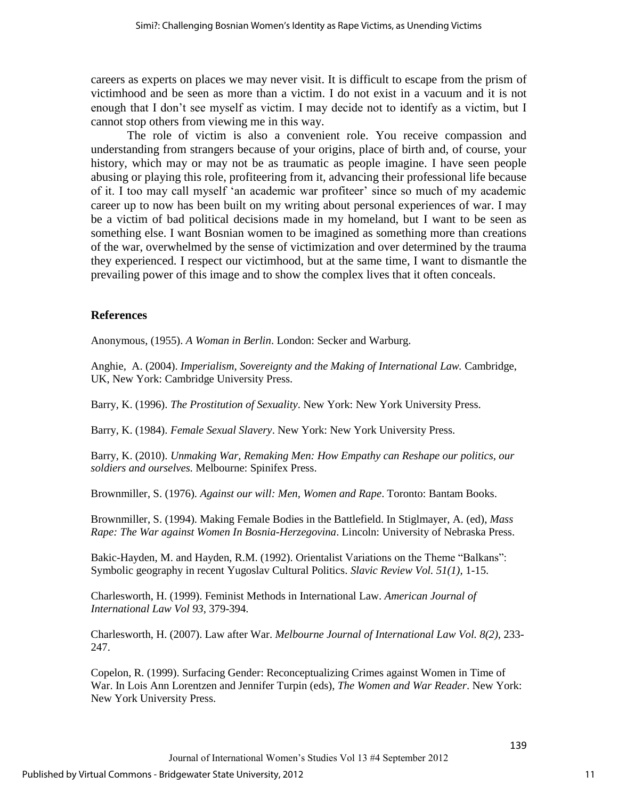careers as experts on places we may never visit. It is difficult to escape from the prism of victimhood and be seen as more than a victim. I do not exist in a vacuum and it is not enough that I don"t see myself as victim. I may decide not to identify as a victim, but I cannot stop others from viewing me in this way.

The role of victim is also a convenient role. You receive compassion and understanding from strangers because of your origins, place of birth and, of course, your history, which may or may not be as traumatic as people imagine. I have seen people abusing or playing this role, profiteering from it, advancing their professional life because of it. I too may call myself "an academic war profiteer" since so much of my academic career up to now has been built on my writing about personal experiences of war. I may be a victim of bad political decisions made in my homeland, but I want to be seen as something else. I want Bosnian women to be imagined as something more than creations of the war, overwhelmed by the sense of victimization and over determined by the trauma they experienced. I respect our victimhood, but at the same time, I want to dismantle the prevailing power of this image and to show the complex lives that it often conceals.

#### **References**

Anonymous, (1955). *A Woman in Berlin*. London: Secker and Warburg.

Anghie, A. (2004). *Imperialism, Sovereignty and the Making of International Law.* Cambridge, UK, New York: Cambridge University Press.

Barry, K. (1996). *The Prostitution of Sexuality*. New York: New York University Press.

Barry, K. (1984). *Female Sexual Slavery*. New York: New York University Press.

Barry, K. (2010). *Unmaking War, Remaking Men: How Empathy can Reshape our politics, our soldiers and ourselves.* Melbourne: Spinifex Press.

Brownmiller, S. (1976). *Against our will: Men, Women and Rape*. Toronto: Bantam Books.

Brownmiller, S. (1994). Making Female Bodies in the Battlefield. In Stiglmayer, A. (ed), *Mass Rape: The War against Women In Bosnia-Herzegovina*. Lincoln: University of Nebraska Press.

Bakic-Hayden, M. and Hayden, R.M. (1992). Orientalist Variations on the Theme "Balkans": Symbolic geography in recent Yugoslav Cultural Politics. *Slavic Review Vol. 51(1),* 1-15.

Charlesworth, H. (1999). Feminist Methods in International Law. *American Journal of International Law Vol 93*, 379-394.

Charlesworth, H. (2007). Law after War. *Melbourne Journal of International Law Vol. 8(2),* 233- 247.

Copelon, R. (1999). Surfacing Gender: Reconceptualizing Crimes against Women in Time of War. In Lois Ann Lorentzen and Jennifer Turpin (eds), *The Women and War Reader*. New York: New York University Press.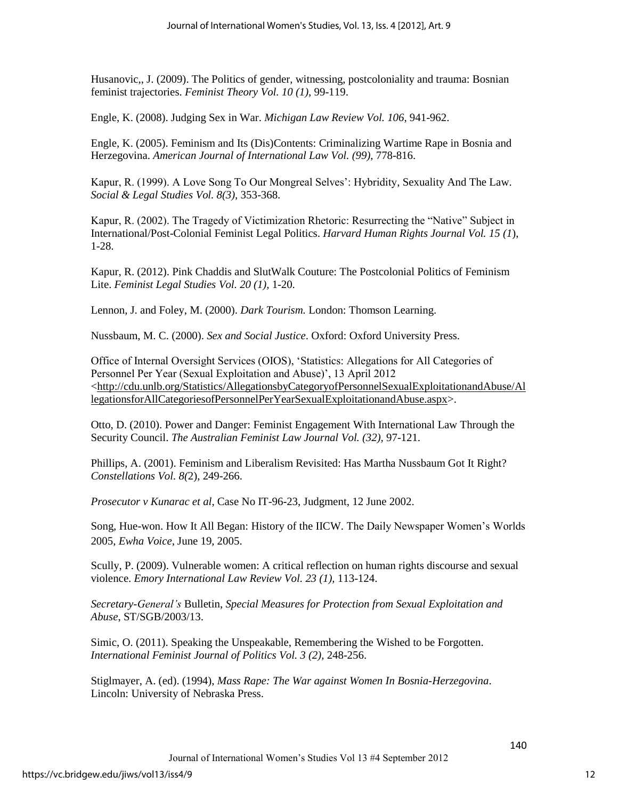Husanovic,, J. (2009). The Politics of gender, witnessing, postcoloniality and trauma: Bosnian feminist trajectories. *Feminist Theory Vol. 10 (1),* 99-119.

Engle, K. (2008). Judging Sex in War. *Michigan Law Review Vol. 106*, 941-962.

Engle, K. (2005). Feminism and Its (Dis)Contents: Criminalizing Wartime Rape in Bosnia and Herzegovina. *American Journal of International Law Vol. (99),* 778-816.

Kapur, R. (1999). A Love Song To Our Mongreal Selves": Hybridity, Sexuality And The Law. *Social & Legal Studies Vol. 8(3),* 353-368.

Kapur, R. (2002). The Tragedy of Victimization Rhetoric: Resurrecting the "Native" Subject in International/Post-Colonial Feminist Legal Politics. *Harvard Human Rights Journal Vol. 15 (1*), 1-28.

Kapur, R. (2012). Pink Chaddis and SlutWalk Couture: The Postcolonial Politics of Feminism Lite. *Feminist Legal Studies Vol. 20 (1),* 1-20.

Lennon, J. and Foley, M. (2000). *Dark Tourism.* London: Thomson Learning.

Nussbaum, M. C. (2000). *Sex and Social Justice*. Oxford: Oxford University Press.

Office of Internal Oversight Services (OIOS), "Statistics: Allegations for All Categories of Personnel Per Year (Sexual Exploitation and Abuse)', 13 April 2012 [<http://cdu.unlb.org/Statistics/AllegationsbyCategoryofPersonnelSexualExploitationandAbuse/Al](http://cdu.unlb.org/Statistics/AllegationsbyCategoryofPersonnelSexualExploitationandAbuse/AllegationsforAllCategoriesofPersonnelPerYearSexualExploitationandAbuse.aspx) [legationsforAllCategoriesofPersonnelPerYearSexualExploitationandAbuse.aspx>](http://cdu.unlb.org/Statistics/AllegationsbyCategoryofPersonnelSexualExploitationandAbuse/AllegationsforAllCategoriesofPersonnelPerYearSexualExploitationandAbuse.aspx).

Otto, D. (2010). Power and Danger: Feminist Engagement With International Law Through the Security Council. *The Australian Feminist Law Journal Vol. (32),* 97-121.

Phillips, A. (2001). Feminism and Liberalism Revisited: Has Martha Nussbaum Got It Right? *Constellations Vol. 8(*2), 249-266.

*Prosecutor v Kunarac et al*, Case No IT-96-23, Judgment, 12 June 2002.

Song, Hue-won. How It All Began: History of the IICW. The Daily Newspaper Women"s Worlds 2005, *Ewha Voice*, June 19, 2005.

Scully, P. (2009). Vulnerable women: A critical reflection on human rights discourse and sexual violence. *Emory International Law Review Vol. 23 (1),* 113-124.

*Secretary-General's* Bulletin, *Special Measures for Protection from Sexual Exploitation and Abuse*, ST/SGB/2003/13.

Simic, O. (2011). Speaking the Unspeakable, Remembering the Wished to be Forgotten. *International Feminist Journal of Politics Vol. 3 (2),* 248-256.

Stiglmayer, A. (ed). (1994), *Mass Rape: The War against Women In Bosnia-Herzegovina*. Lincoln: University of Nebraska Press.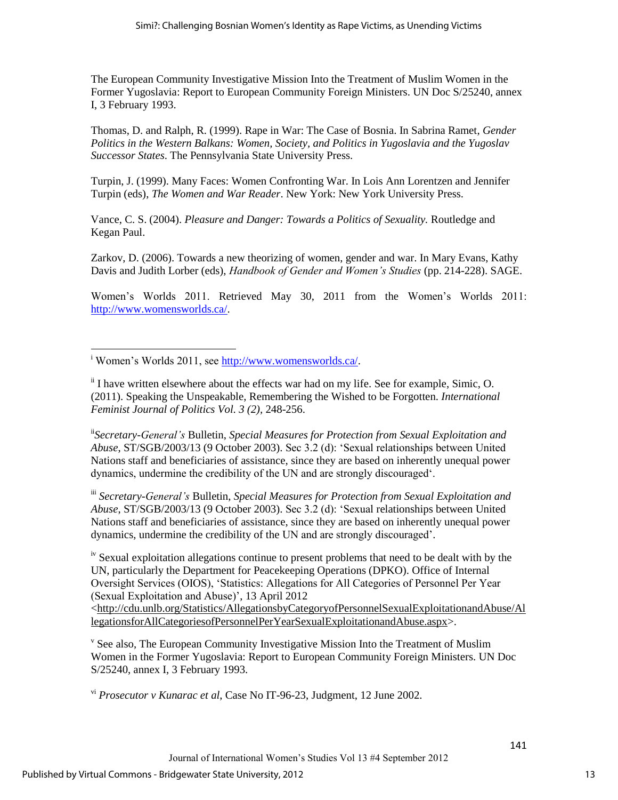The European Community Investigative Mission Into the Treatment of Muslim Women in the Former Yugoslavia: Report to European Community Foreign Ministers. UN Doc S/25240, annex I, 3 February 1993.

Thomas, D. and Ralph, R. (1999). Rape in War: The Case of Bosnia. In Sabrina Ramet, *Gender Politics in the Western Balkans: Women, Society, and Politics in Yugoslavia and the Yugoslav Successor States*. The Pennsylvania State University Press.

Turpin, J. (1999). Many Faces: Women Confronting War. In Lois Ann Lorentzen and Jennifer Turpin (eds), *The Women and War Reader*. New York: New York University Press.

Vance, C. S. (2004). *Pleasure and Danger: Towards a Politics of Sexuality.* Routledge and Kegan Paul.

Zarkov, D. (2006). Towards a new theorizing of women, gender and war. In Mary Evans, Kathy Davis and Judith Lorber (eds), *Handbook of Gender and Women's Studies* (pp. 214-228). SAGE.

Women"s Worlds 2011. Retrieved May 30, 2011 from the Women"s Worlds 2011: [http://www.womensworlds.ca/.](http://www.womensworlds.ca/)

ii*Secretary-General's* Bulletin, *Special Measures for Protection from Sexual Exploitation and Abuse*, ST/SGB/2003/13 (9 October 2003). Sec 3.2 (d): "Sexual relationships between United Nations staff and beneficiaries of assistance, since they are based on inherently unequal power dynamics, undermine the credibility of the UN and are strongly discouraged".

iii *Secretary-General's* Bulletin, *Special Measures for Protection from Sexual Exploitation and Abuse*, ST/SGB/2003/13 (9 October 2003). Sec 3.2 (d): "Sexual relationships between United Nations staff and beneficiaries of assistance, since they are based on inherently unequal power dynamics, undermine the credibility of the UN and are strongly discouraged".

<sup>iv</sup> Sexual exploitation allegations continue to present problems that need to be dealt with by the UN, particularly the Department for Peacekeeping Operations (DPKO). Office of Internal Oversight Services (OIOS), "Statistics: Allegations for All Categories of Personnel Per Year (Sexual Exploitation and Abuse)", 13 April 2012

[<http://cdu.unlb.org/Statistics/AllegationsbyCategoryofPersonnelSexualExploitationandAbuse/Al](http://cdu.unlb.org/Statistics/AllegationsbyCategoryofPersonnelSexualExploitationandAbuse/AllegationsforAllCategoriesofPersonnelPerYearSexualExploitationandAbuse.aspx) [legationsforAllCategoriesofPersonnelPerYearSexualExploitationandAbuse.aspx>](http://cdu.unlb.org/Statistics/AllegationsbyCategoryofPersonnelSexualExploitationandAbuse/AllegationsforAllCategoriesofPersonnelPerYearSexualExploitationandAbuse.aspx).

<sup>v</sup> See also, The European Community Investigative Mission Into the Treatment of Muslim Women in the Former Yugoslavia: Report to European Community Foreign Ministers. UN Doc S/25240, annex I, 3 February 1993.

vi *Prosecutor v Kunarac et al*, Case No IT-96-23, Judgment, 12 June 2002.

 $\overline{\phantom{a}}$ <sup>i</sup> Women's Worlds 2011, see [http://www.womensworlds.ca/.](http://www.womensworlds.ca/)

ii I have written elsewhere about the effects war had on my life. See for example, Simic, O. (2011). Speaking the Unspeakable, Remembering the Wished to be Forgotten. *International Feminist Journal of Politics Vol. 3 (2),* 248-256.